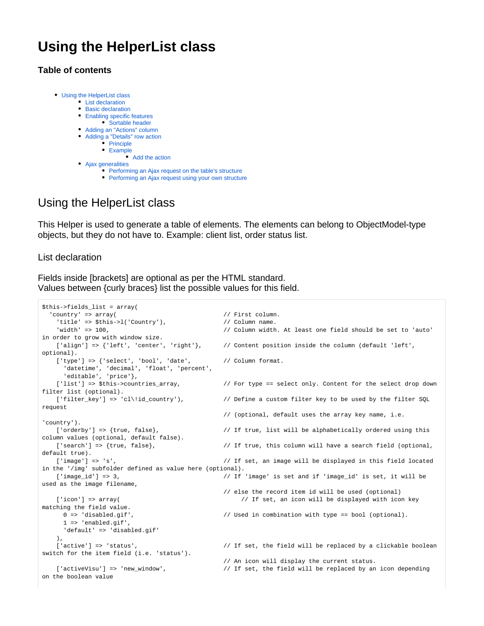# **Using the HelperList class**

## **Table of contents**

 $\bullet$ 

| Using the HelperList class      |
|---------------------------------|
| • List declaration              |
| • Basic declaration             |
| • Enabling specific features    |
| • Sortable header               |
| • Adding an "Actions" column    |
| • Adding a "Details" row action |
| • Principle                     |
| • Example                       |
| • Add the action                |
| Ajax generalities               |

- [Performing an Ajax request on the table's structure](#page-4-1)
- [Performing an Ajax request using your own structure](#page-4-2)

## <span id="page-0-0"></span>Using the HelperList class

This Helper is used to generate a table of elements. The elements can belong to ObjectModel-type objects, but they do not have to. Example: client list, order status list.

<span id="page-0-1"></span>List declaration

Fields inside [brackets] are optional as per the HTML standard. Values between {curly braces} list the possible values for this field.

```
$this->fields_list = array(
 'country' => array( \frac{1}{2} // First column.
   'title' => $this->l('Country'), \frac{1}{2} // Column name.
    'width' => 100, // Column width. At least one field should be set to 'auto' 
in order to grow with window size.
   ['align'] => {'left', 'center', 'right'}, // Content position inside the column (default 'left',
optional).
   ['type'] => {'select', 'bool', 'date', ' // Column format.
      'datetime', 'decimal', 'float', 'percent', 
      'editable', 'price'}, 
   ['list'] => $this->countries_array, \frac{1}{2} For type == select only. Content for the select drop down
filter list (optional).<br>['filter_key'] => 'cl\!id_country'),
                                               // Define a custom filter key to be used by the filter SQL
request 
                                                // (optional, default uses the array key name, i.e. 
'country').
   ['orderby'] => {true, false}, \frac{1}{2} // If true, list will be alphabetically ordered using this
column values (optional, default false).
   ['search'] => {true, false}, \qquad // If true, this column will have a search field (optional,
default true).
   ['image'] => 's', \frac{1}{2} // If set, an image will be displayed in this field located
in the '/img' subfolder defined as value here (optional).
    ['image_id'] => 3, // If 'image' is set and if 'image_id' is set, it will be 
used as the image filename, 
                                                // else the record item id will be used (optional)
   ['icon'] => array( \frac{1}{2} // If set, an icon will be displayed with icon key
matching the field value. 
      0 => 'disabled.gif', // Used in combination with type == bool (optional).
      1 => 'enabled.gif',
      'default' => 'disabled.gif'
    ),
   ['active'] => 'status', \frac{1}{2} // If set, the field will be replaced by a clickable boolean
switch for the item field (i.e. 'status'). 
                                                // An icon will display the current status.
   ['activeVisu'] => 'new_window', \qquad // If set, the field will be replaced by an icon depending
on the boolean value
```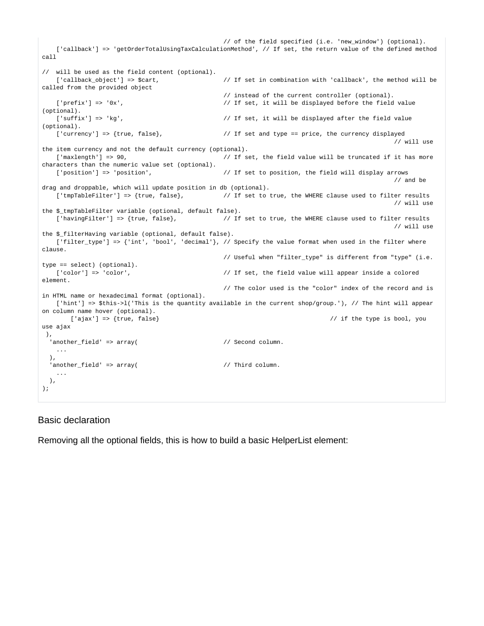```
 // of the field specified (i.e. 'new_window') (optional).
    ['callback'] => 'getOrderTotalUsingTaxCalculationMethod', // If set, the return value of the defined method 
call 
// will be used as the field content (optional).<br>['callback object'] => $cart,
                                         // If set in combination with 'callback', the method will be
called from the provided object 
                                         // instead of the current controller (optional).
   ['prefix'] => '0x', \frac{1}{2} / If set, it will be displayed before the field value
(optional).
   ['suffix'] => 'kg', \frac{1}{2} / If set, it will be displayed after the field value
(optional).
   ['currency'] => {true, false}, // If set and type == price, the currency displayed 
 // will use 
the item currency and not the default currency (optional).
  ['maxlength'] => 90, \frac{1}{2} / If set, the field value will be truncated if it has more
characters than the numeric value set (optional).
  ['position'] => 'position', \sqrt{ } If set to position, the field will display arrows
 // and be 
drag and droppable, which will update position in db (optional).
   ['tmpTableFilter'] => {true, false}, \frac{1}{2} // If set to true, the WHERE clause used to filter results
 // will use 
the $ tmpTableFilter variable (optional, default false).
  ['havingFilter'] => {true, false}, \frac{1}{2} // If set to true, the WHERE clause used to filter results
 // will use 
the $_filterHaving variable (optional, default false).
  ['filter_type'] => {'int', 'bool', 'decimal'}, // Specify the value format when used in the filter where
clause.
                                        // Useful when "filter type" is different from "type" (i.e.
type == select) (optional).
  ['color'] => 'color', \qquad // If set, the field value will appear inside a colored
element. 
                                          // The color used is the "color" index of the record and is 
in HTML name or hexadecimal format (optional).
   ['hint'] => $this->l('This is the quantity available in the current shop/group.'), // The hint will appear 
on column name hover (optional).
     ['ajax'] => {true, false} / / if the type is bool, you
use ajax
 ),
 'another_field' => array( // Second column.
 ...
  ),
 'another_field' => array( \frac{1}{2} // Third column.
 ...
  ),
);
```
#### <span id="page-1-0"></span>Basic declaration

Removing all the optional fields, this is how to build a basic HelperList element: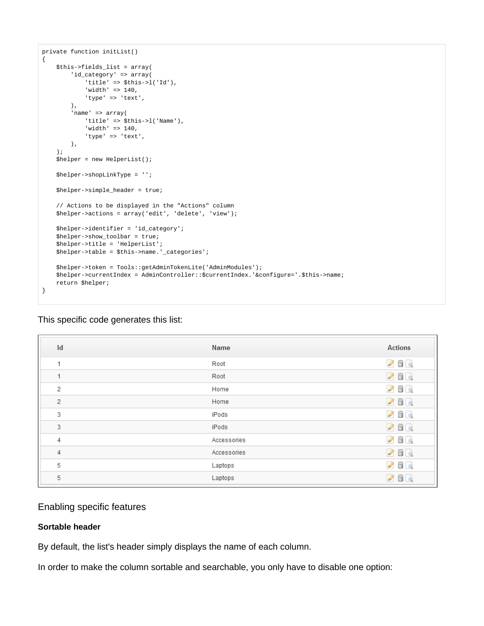```
private function initList()
{
     $this->fields_list = array(
        'id_category' => array(
             'title' => $this->l('Id'),
             'width' => 140,
             'type' => 'text',
         ),
         'name' => array(
             'title' => $this->l('Name'),
             'width' => 140,
            'type' => 'text',
         ),
     );
     $helper = new HelperList();
     $helper->shopLinkType = '';
     $helper->simple_header = true;
     // Actions to be displayed in the "Actions" column
     $helper->actions = array('edit', 'delete', 'view');
     $helper->identifier = 'id_category';
    $helper->show toolbar = true;
     $helper->title = 'HelperList';
     $helper->table = $this->name.'_categories';
     $helper->token = Tools::getAdminTokenLite('AdminModules');
     $helper->currentIndex = AdminController::$currentIndex.'&configure='.$this->name;
     return $helper;
}
```

| Id | Name        | Actions                 |
|----|-------------|-------------------------|
| 1  | Root        | $\mathscr{S}$ de        |
| 1  | Root        | 200                     |
| 2  | Home        | $\mathcal{S} \boxdot$ Q |
| 2  | Home        | 260                     |
| 3  | iPods       | $\mathcal{S}$ de        |
| 3  | iPods       | 260                     |
| 4  | Accessories | $\mathcal{S} \boxdot$ Q |
| 4  | Accessories | 260                     |
| 5  | Laptops     | $\mathcal{S}$ dec       |
| 5  | Laptops     | 260                     |
|    |             |                         |

#### This specific code generates this list:

## <span id="page-2-0"></span>Enabling specific features

## <span id="page-2-1"></span>**Sortable header**

By default, the list's header simply displays the name of each column.

In order to make the column sortable and searchable, you only have to disable one option: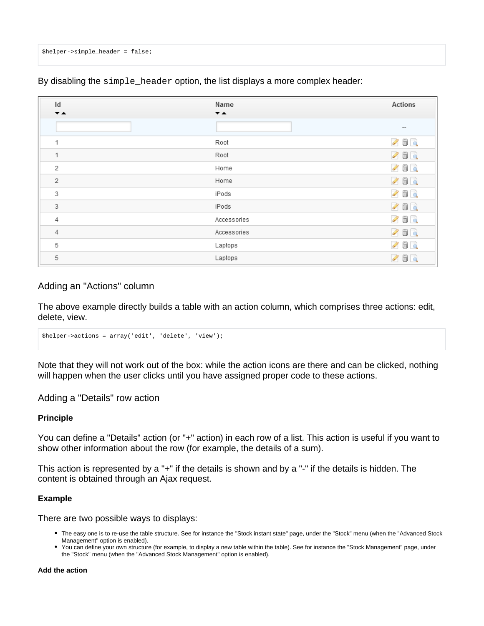\$helper->simple\_header = false;

Id Name **Actions**  $\overline{\phantom{a}}$  $\overline{\phantom{a}}$  $\mathscr{S}$  in a  $\mathbf{1}$ Root  $\mathbf{1}$ Root 0 6 Q  $\overline{2}$ Home 000  $\overline{2}$ Home 0 6 Q  $\mathcal{S}$  dec 3 iPods 3 iPods  $260$  $\bullet$  6  $\circ$  $\overline{4}$ Accessories  $\sqrt{4}$ Accessories  $\sqrt{a}$ 5 Laptops 0 de a 5 Laptops 000

By disabling the simple\_header option, the list displays a more complex header:

### <span id="page-3-0"></span>Adding an "Actions" column

The above example directly builds a table with an action column, which comprises three actions: edit, delete, view.

\$helper->actions = array('edit', 'delete', 'view');

Note that they will not work out of the box: while the action icons are there and can be clicked, nothing will happen when the user clicks until you have assigned proper code to these actions.

<span id="page-3-1"></span>Adding a "Details" row action

#### <span id="page-3-2"></span>**Principle**

You can define a "Details" action (or "+" action) in each row of a list. This action is useful if you want to show other information about the row (for example, the details of a sum).

This action is represented by a "+" if the details is shown and by a "-" if the details is hidden. The content is obtained through an Ajax request.

#### <span id="page-3-3"></span>**Example**

There are two possible ways to displays:

- The easy one is to re-use the table structure. See for instance the "Stock instant state" page, under the "Stock" menu (when the "Advanced Stock Management" option is enabled).
- You can define your own structure (for example, to display a new table within the table). See for instance the "Stock Management" page, under the "Stock" menu (when the "Advanced Stock Management" option is enabled).

<span id="page-3-4"></span>**Add the action**